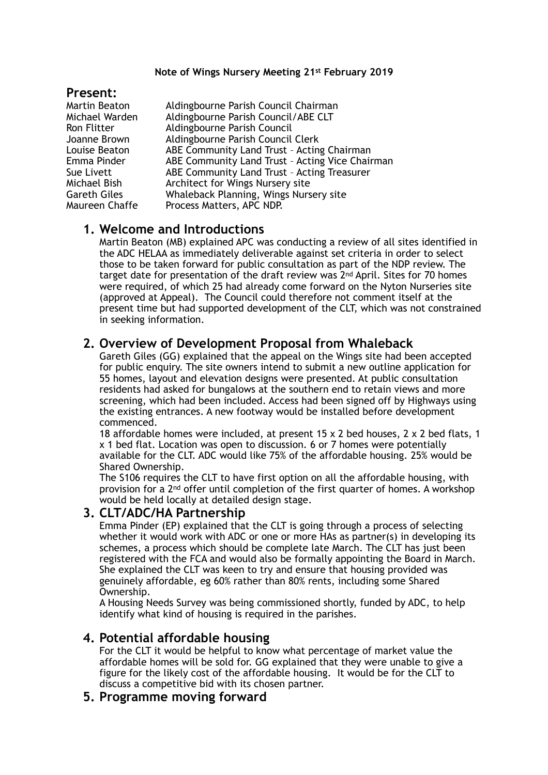#### **Note of Wings Nursery Meeting 21st February 2019**

### **Present:**

Martin Beaton Aldingbourne Parish Council Chairman Michael Warden Aldingbourne Parish Council/ABE CLT Ron Flitter Aldingbourne Parish Council Joanne Brown Aldingbourne Parish Council Clerk Louise Beaton ABE Community Land Trust – Acting Chairman Emma Pinder **ABE Community Land Trust - Acting Vice Chairman** Sue Livett **ABE Community Land Trust - Acting Treasurer** Michael Bish Architect for Wings Nursery site Gareth Giles Whaleback Planning, Wings Nursery site Maureen Chaffe Process Matters, APC NDP.

## **1. Welcome and Introductions**

Martin Beaton (MB) explained APC was conducting a review of all sites identified in the ADC HELAA as immediately deliverable against set criteria in order to select those to be taken forward for public consultation as part of the NDP review. The target date for presentation of the draft review was 2nd April. Sites for 70 homes were required, of which 25 had already come forward on the Nyton Nurseries site (approved at Appeal). The Council could therefore not comment itself at the present time but had supported development of the CLT, which was not constrained in seeking information.

## **2. Overview of Development Proposal from Whaleback**

Gareth Giles (GG) explained that the appeal on the Wings site had been accepted for public enquiry. The site owners intend to submit a new outline application for 55 homes, layout and elevation designs were presented. At public consultation residents had asked for bungalows at the southern end to retain views and more screening, which had been included. Access had been signed off by Highways using the existing entrances. A new footway would be installed before development commenced.

18 affordable homes were included, at present  $15 \times 2$  bed houses,  $2 \times 2$  bed flats, 1 x 1 bed flat. Location was open to discussion. 6 or 7 homes were potentially available for the CLT. ADC would like 75% of the affordable housing. 25% would be Shared Ownership.

The S106 requires the CLT to have first option on all the affordable housing, with provision for a 2nd offer until completion of the first quarter of homes. A workshop would be held locally at detailed design stage.

### **3. CLT/ADC/HA Partnership**

Emma Pinder (EP) explained that the CLT is going through a process of selecting whether it would work with ADC or one or more HAs as partner(s) in developing its schemes, a process which should be complete late March. The CLT has just been registered with the FCA and would also be formally appointing the Board in March. She explained the CLT was keen to try and ensure that housing provided was genuinely affordable, eg 60% rather than 80% rents, including some Shared Ownership.

A Housing Needs Survey was being commissioned shortly, funded by ADC, to help identify what kind of housing is required in the parishes.

# **4. Potential affordable housing**

For the CLT it would be helpful to know what percentage of market value the affordable homes will be sold for. GG explained that they were unable to give a figure for the likely cost of the affordable housing. It would be for the CLT to discuss a competitive bid with its chosen partner.

# **5. Programme moving forward**